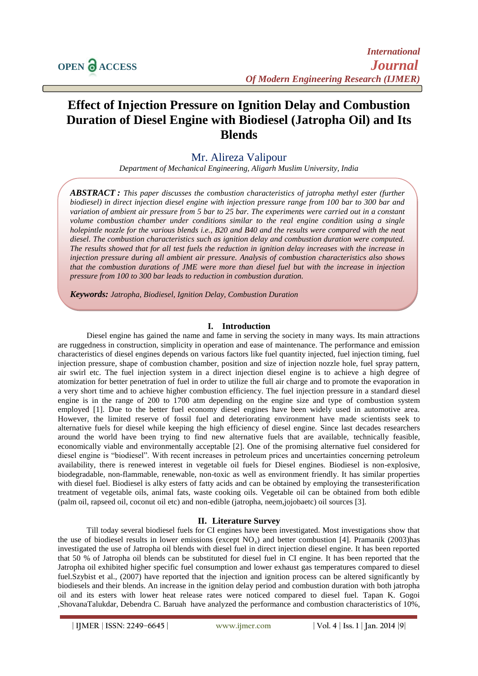# **Effect of Injection Pressure on Ignition Delay and Combustion Duration of Diesel Engine with Biodiesel (Jatropha Oil) and Its Blends**

# Mr. Alireza Valipour

*Department of Mechanical Engineering, Aligarh Muslim University, India*

*ABSTRACT : This paper discusses the combustion characteristics of jatropha methyl ester (further biodiesel) in direct injection diesel engine with injection pressure range from 100 bar to 300 bar and variation of ambient air pressure from 5 bar to 25 bar. The experiments were carried out in a constant volume combustion chamber under conditions similar to the real engine condition using a single holepintle nozzle for the various blends i.e., B20 and B40 and the results were compared with the neat diesel. The combustion characteristics such as ignition delay and combustion duration were computed. The results showed that for all test fuels the reduction in ignition delay increases with the increase in injection pressure during all ambient air pressure. Analysis of combustion characteristics also shows that the combustion durations of JME were more than diesel fuel but with the increase in injection pressure from 100 to 300 bar leads to reduction in combustion duration.*

*Keywords: Jatropha, Biodiesel, Ignition Delay, Combustion Duration*

## **I. Introduction**

Diesel engine has gained the name and fame in serving the society in many ways. Its main attractions are ruggedness in construction, simplicity in operation and ease of maintenance. The performance and emission characteristics of diesel engines depends on various factors like fuel quantity injected, fuel injection timing, fuel injection pressure, shape of combustion chamber, position and size of injection nozzle hole, fuel spray pattern, air swirl etc. The fuel injection system in a direct injection diesel engine is to achieve a high degree of atomization for better penetration of fuel in order to utilize the full air charge and to promote the evaporation in a very short time and to achieve higher combustion efficiency. The fuel injection pressure in a standard diesel engine is in the range of 200 to 1700 atm depending on the engine size and type of combustion system employed [1]. Due to the better fuel economy diesel engines have been widely used in automotive area. However, the limited reserve of fossil fuel and deteriorating environment have made scientists seek to alternative fuels for diesel while keeping the high efficiency of diesel engine. Since last decades researchers around the world have been trying to find new alternative fuels that are available, technically feasible, economically viable and environmentally acceptable [2]. One of the promising alternative fuel considered for diesel engine is "biodiesel". With recent increases in petroleum prices and uncertainties concerning petroleum availability, there is renewed interest in vegetable oil fuels for Diesel engines. Biodiesel is non-explosive, biodegradable, non-flammable, renewable, non-toxic as well as environment friendly. It has similar properties with diesel fuel. Biodiesel is alky esters of fatty acids and can be obtained by employing the transesterification treatment of vegetable oils, animal fats, waste cooking oils. Vegetable oil can be obtained from both edible (palm oil, rapseed oil, coconut oil etc) and non-edible (jatropha, neem,jojobaetc) oil sources [3].

## **II. Literature Survey**

Till today several biodiesel fuels for CI engines have been investigated. Most investigations show that the use of biodiesel results in lower emissions (except  $NO<sub>x</sub>$ ) and better combustion [4]. Pramanik (2003)has investigated the use of Jatropha oil blends with diesel fuel in direct injection diesel engine. It has been reported that 50 % of Jatropha oil blends can be substituted for diesel fuel in CI engine. It has been reported that the Jatropha oil exhibited higher specific fuel consumption and lower exhaust gas temperatures compared to diesel fuel.Szybist et al., (2007) have reported that the injection and ignition process can be altered significantly by biodiesels and their blends. An increase in the ignition delay period and combustion duration with both jatropha oil and its esters with lower heat release rates were noticed compared to diesel fuel. Tapan K. Gogoi ,ShovanaTalukdar, Debendra C. Baruah have analyzed the performance and combustion characteristics of 10%,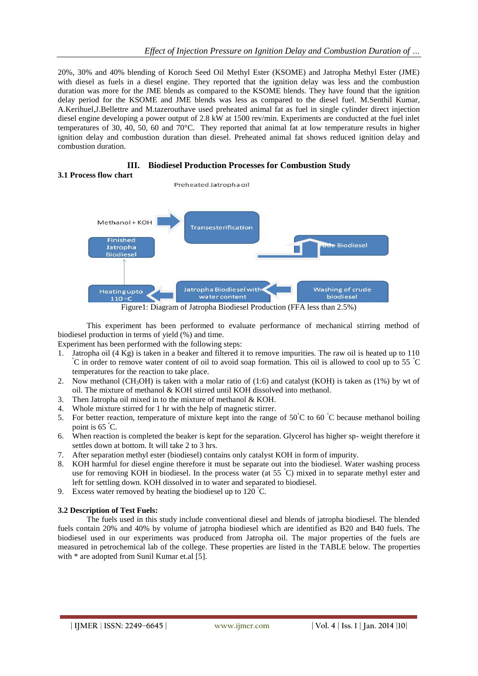20%, 30% and 40% blending of Koroch Seed Oil Methyl Ester (KSOME) and Jatropha Methyl Ester (JME) with diesel as fuels in a diesel engine. They reported that the ignition delay was less and the combustion duration was more for the JME blends as compared to the KSOME blends. They have found that the ignition delay period for the KSOME and JME blends was less as compared to the diesel fuel. M.Senthil Kumar, A.Kerihuel,J.Bellettre and M.tazerouthave used preheated animal fat as fuel in single cylinder direct injection diesel engine developing a power output of 2.8 kW at 1500 rev/min. Experiments are conducted at the fuel inlet temperatures of 30, 40, 50, 60 and 70°C. They reported that animal fat at low temperature results in higher ignition delay and combustion duration than diesel. Preheated animal fat shows reduced ignition delay and combustion duration.



This experiment has been performed to evaluate performance of mechanical stirring method of biodiesel production in terms of yield (%) and time.

Experiment has been performed with the following steps:

- 1. Jatropha oil (4 Kg) is taken in a beaker and filtered it to remove impurities. The raw oil is heated up to 110 <sup>º</sup>C in order to remove water content of oil to avoid soap formation. This oil is allowed to cool up to 55 <sup>º</sup>C temperatures for the reaction to take place.
- 2. Now methanol (CH<sub>3</sub>OH) is taken with a molar ratio of  $(1:6)$  and catalyst (KOH) is taken as (1%) by wt of oil. The mixture of methanol & KOH stirred until KOH dissolved into methanol.
- 3. Then Jatropha oil mixed in to the mixture of methanol & KOH.
- 4. Whole mixture stirred for 1 hr with the help of magnetic stirrer.
- 5. For better reaction, temperature of mixture kept into the range of 50°C to 60 °C because methanol boiling point is  $65^{\circ}$ C.
- 6. When reaction is completed the beaker is kept for the separation. Glycerol has higher sp- weight therefore it settles down at bottom. It will take 2 to 3 hrs.
- 7. After separation methyl ester (biodiesel) contains only catalyst KOH in form of impurity.
- 8. KOH harmful for diesel engine therefore it must be separate out into the biodiesel. Water washing process use for removing KOH in biodiesel. In the process water (at  $55\degree C$ ) mixed in to separate methyl ester and left for settling down. KOH dissolved in to water and separated to biodiesel.
- 9. Excess water removed by heating the biodiesel up to  $120^{\circ}$ C.

## **3.2 Description of Test Fuels:**

The fuels used in this study include conventional diesel and blends of jatropha biodiesel. The blended fuels contain 20% and 40% by volume of jatropha biodiesel which are identified as B20 and B40 fuels. The biodiesel used in our experiments was produced from Jatropha oil. The major properties of the fuels are measured in petrochemical lab of the college. These properties are listed in the TABLE below. The properties with  $*$  are adopted from Sunil Kumar et.al [5].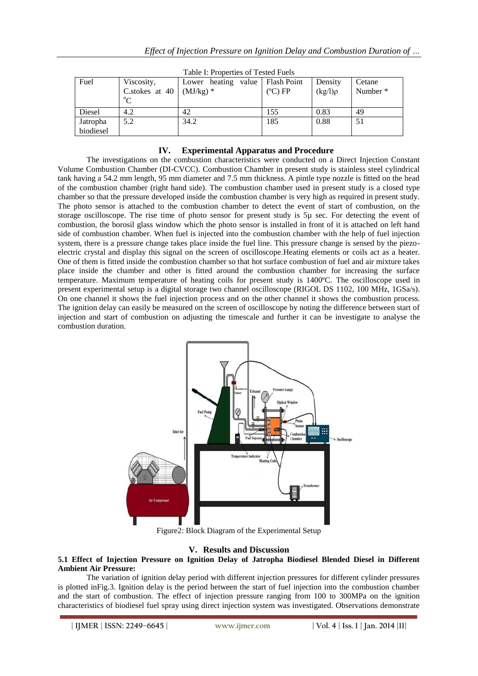| Table 1. Properties of Tested Puers |                           |                                   |  |          |              |                     |
|-------------------------------------|---------------------------|-----------------------------------|--|----------|--------------|---------------------|
| Fuel                                | Viscosity,                | Lower heating value   Flash Point |  |          | Density      | Cetane              |
|                                     | C.stokes at 40 $(MJ/kg)*$ |                                   |  | $(C)$ FP | $(kg/l)\rho$ | Number <sup>*</sup> |
|                                     | $\rm ^{o}C$               |                                   |  |          |              |                     |
| Diesel                              | 4.2                       | 42                                |  | 155      | 0.83         | 49                  |
| Jatropha                            | 5.2                       | 34.2                              |  | 185      | 0.88         | 51                  |
| biodiesel                           |                           |                                   |  |          |              |                     |

 $CT<sub>1</sub>: 1$   $T<sub>1</sub>: 1$ 

# **IV. Experimental Apparatus and Procedure**

The investigations on the combustion characteristics were conducted on a Direct Injection Constant Volume Combustion Chamber (DI-CVCC). Combustion Chamber in present study is stainless steel cylindrical tank having a 54.2 mm length, 95 mm diameter and 7.5 mm thickness. A pintle type nozzle is fitted on the head of the combustion chamber (right hand side). The combustion chamber used in present study is a closed type chamber so that the pressure developed inside the combustion chamber is very high as required in present study. The photo sensor is attached to the combustion chamber to detect the event of start of combustion, on the storage oscilloscope. The rise time of photo sensor for present study is 5µ sec. For detecting the event of combustion, the borosil glass window which the photo sensor is installed in front of it is attached on left hand side of combustion chamber. When fuel is injected into the combustion chamber with the help of fuel injection system, there is a pressure change takes place inside the fuel line. This pressure change is sensed by the piezoelectric crystal and display this signal on the screen of oscilloscope.Heating elements or coils act as a heater. One of them is fitted inside the combustion chamber so that hot surface combustion of fuel and air mixture takes place inside the chamber and other is fitted around the combustion chamber for increasing the surface temperature. Maximum temperature of heating coils for present study is 1400ºC. The oscilloscope used in present experimental setup is a digital storage two channel oscilloscope (RIGOL DS 1102, 100 MHz, 1GSa/s). On one channel it shows the fuel injection process and on the other channel it shows the combustion process. The ignition delay can easily be measured on the screen of oscilloscope by noting the difference between start of injection and start of combustion on adjusting the timescale and further it can be investigate to analyse the combustion duration.



Figure2: Block Diagram of the Experimental Setup

# **V. Results and Discussion**

## **5.1 Effect of Injection Pressure on Ignition Delay of Jatropha Biodiesel Blended Diesel in Different Ambient Air Pressure:**

The variation of ignition delay period with different injection pressures for different cylinder pressures is plotted inFig.3. Ignition delay is the period between the start of fuel injection into the combustion chamber and the start of combustion. The effect of injection pressure ranging from 100 to 300MPa on the ignition characteristics of biodiesel fuel spray using direct injection system was investigated. Observations demonstrate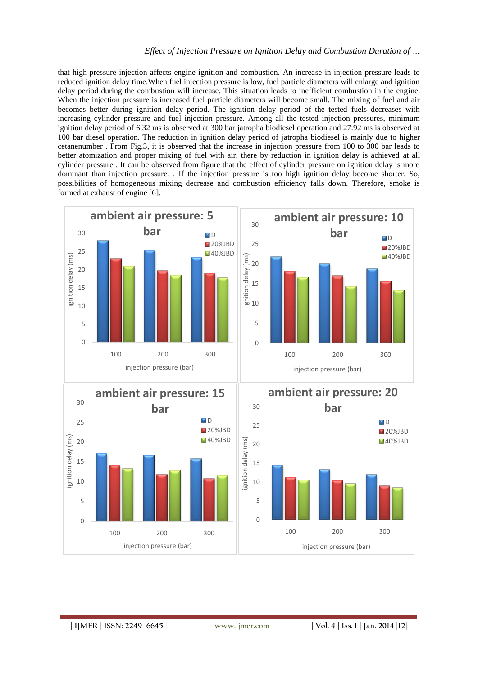that high-pressure injection affects engine ignition and combustion. An increase in injection pressure leads to reduced ignition delay time.When fuel injection pressure is low, fuel particle diameters will enlarge and ignition delay period during the combustion will increase. This situation leads to inefficient combustion in the engine. When the injection pressure is increased fuel particle diameters will become small. The mixing of fuel and air becomes better during ignition delay period. The ignition delay period of the tested fuels decreases with increasing cylinder pressure and fuel injection pressure. Among all the tested injection pressures, minimum ignition delay period of 6.32 ms is observed at 300 bar jatropha biodiesel operation and 27.92 ms is observed at 100 bar diesel operation. The reduction in ignition delay period of jatropha biodiesel is mainly due to higher cetanenumber . From Fig.3, it is observed that the increase in injection pressure from 100 to 300 bar leads to better atomization and proper mixing of fuel with air, there by reduction in ignition delay is achieved at all cylinder pressure . It can be observed from figure that the effect of cylinder pressure on ignition delay is more dominant than injection pressure. . If the injection pressure is too high ignition delay become shorter. So, possibilities of homogeneous mixing decrease and combustion efficiency falls down. Therefore, smoke is formed at exhaust of engine [6].

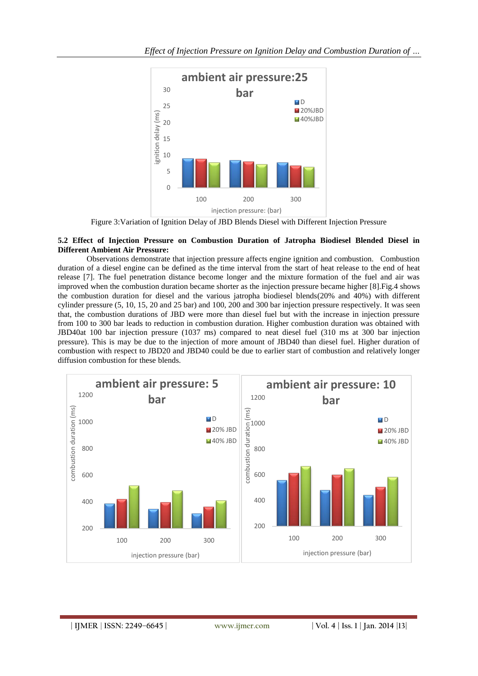

Figure 3:Variation of Ignition Delay of JBD Blends Diesel with Different Injection Pressure

## **5.2 Effect of Injection Pressure on Combustion Duration of Jatropha Biodiesel Blended Diesel in Different Ambient Air Pressure:**

Observations demonstrate that injection pressure affects engine ignition and combustion. Combustion duration of a diesel engine can be defined as the time interval from the start of heat release to the end of heat release [7]. The fuel penetration distance become longer and the mixture formation of the fuel and air was improved when the combustion duration became shorter as the injection pressure became higher [8].Fig.4 shows the combustion duration for diesel and the various jatropha biodiesel blends(20% and 40%) with different cylinder pressure (5, 10, 15, 20 and 25 bar) and 100, 200 and 300 bar injection pressure respectively. It was seen that, the combustion durations of JBD were more than diesel fuel but with the increase in injection pressure from 100 to 300 bar leads to reduction in combustion duration. Higher combustion duration was obtained with JBD40at 100 bar injection pressure (1037 ms) compared to neat diesel fuel (310 ms at 300 bar injection pressure). This is may be due to the injection of more amount of JBD40 than diesel fuel. Higher duration of combustion with respect to JBD20 and JBD40 could be due to earlier start of combustion and relatively longer diffusion combustion for these blends.